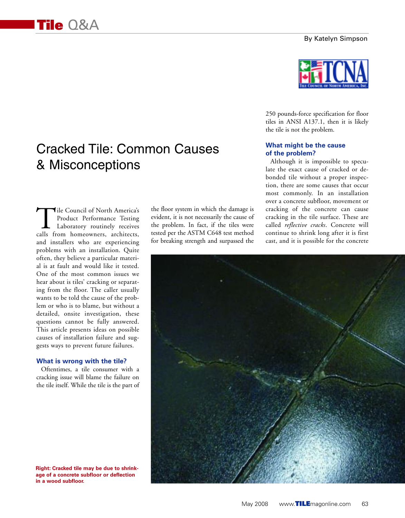#### By Katelyn Simpson

# Cracked Tile: Common Causes & Misconceptions

Tile Council of North America's<br>Product Performance Testing<br>Laboratory routinely receives<br>calls from homeowners, architects. Product Performance Testing Laboratory routinely receives calls from homeowners, architects, and installers who are experiencing problems with an installation. Quite often, they believe a particular material is at fault and would like it tested. One of the most common issues we hear about is tiles' cracking or separating from the floor. The caller usually wants to be told the cause of the problem or who is to blame, but without a detailed, onsite investigation, these questions cannot be fully answered. This article presents ideas on possible causes of installation failure and suggests ways to prevent future failures.

#### **What is wrong with the tile?**

Oftentimes, a tile consumer with a cracking issue will blame the failure on the tile itself. While the tile is the part of the floor system in which the damage is evident, it is not necessarily the cause of the problem. In fact, if the tiles were tested per the ASTM C648 test method for breaking strength and surpassed the



250 pounds-force specification for floor tiles in ANSI A137.1, then it is likely the tile is not the problem.

## **What might be the cause of the problem?**

Although it is impossible to speculate the exact cause of cracked or debonded tile without a proper inspection, there are some causes that occur most commonly. In an installation over a concrete subfloor, movement or cracking of the concrete can cause cracking in the tile surface. These are called *reflective cracks*. Concrete will continue to shrink long after it is first cast, and it is possible for the concrete



**Right: Cracked tile may be due to shrinkage of a concrete subfloor or deflection in a wood subfloor.**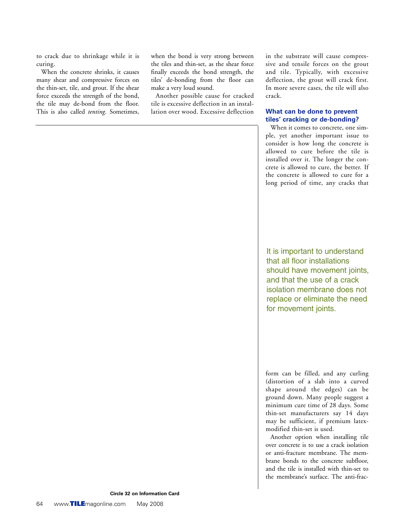to crack due to shrinkage while it is curing.

When the concrete shrinks, it causes many shear and compressive forces on the thin-set, tile, and grout. If the shear force exceeds the strength of the bond, the tile may de-bond from the floor. This is also called *tenting*. Sometimes,

when the bond is very strong between the tiles and thin-set, as the shear force finally exceeds the bond strength, the tiles' de-bonding from the floor can make a very loud sound.

Another possible cause for cracked tile is excessive deflection in an installation over wood. Excessive deflection in the substrate will cause compressive and tensile forces on the grout and tile. Typically, with excessive deflection, the grout will crack first. In more severe cases, the tile will also crack.

### **What can be done to prevent tiles' cracking or de-bonding?**

When it comes to concrete, one simple, yet another important issue to consider is how long the concrete is allowed to cure before the tile is installed over it. The longer the concrete is allowed to cure, the better. If the concrete is allowed to cure for a long period of time, any cracks that

It is important to understand that all floor installations should have movement joints, and that the use of a crack isolation membrane does not replace or eliminate the need for movement joints.

form can be filled, and any curling (distortion of a slab into a curved shape around the edges) can be ground down. Many people suggest a minimum cure time of 28 days. Some thin-set manufacturers say 14 days may be sufficient, if premium latexmodified thin-set is used.

Another option when installing tile over concrete is to use a crack isolation or anti-fracture membrane. The membrane bonds to the concrete subfloor, and the tile is installed with thin-set to the membrane's surface. The anti-frac